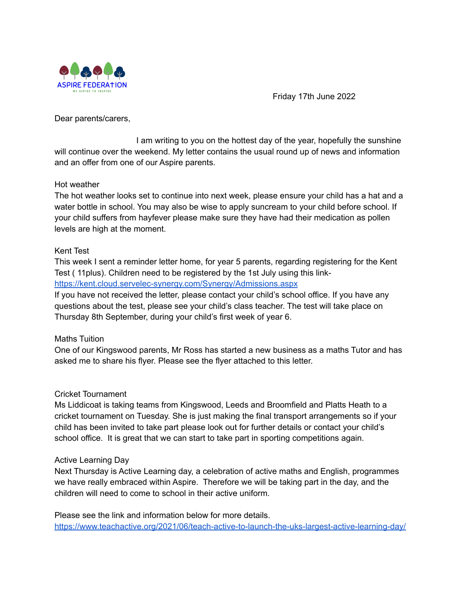

Friday 17th June 2022

Dear parents/carers,

I am writing to you on the hottest day of the year, hopefully the sunshine will continue over the weekend. My letter contains the usual round up of news and information and an offer from one of our Aspire parents.

### Hot weather

The hot weather looks set to continue into next week, please ensure your child has a hat and a water bottle in school. You may also be wise to apply suncream to your child before school. If your child suffers from hayfever please make sure they have had their medication as pollen levels are high at the moment.

# Kent Test

This week I sent a reminder letter home, for year 5 parents, regarding registering for the Kent Test ( 11plus). Children need to be registered by the 1st July using this link<https://kent.cloud.servelec-synergy.com/Synergy/Admissions.aspx>

If you have not received the letter, please contact your child's school office. If you have any questions about the test, please see your child's class teacher. The test will take place on Thursday 8th September, during your child's first week of year 6.

# Maths Tuition

One of our Kingswood parents, Mr Ross has started a new business as a maths Tutor and has asked me to share his flyer. Please see the flyer attached to this letter.

### Cricket Tournament

Ms Liddicoat is taking teams from Kingswood, Leeds and Broomfield and Platts Heath to a cricket tournament on Tuesday. She is just making the final transport arrangements so if your child has been invited to take part please look out for further details or contact your child's school office. It is great that we can start to take part in sporting competitions again.

### Active Learning Day

Next Thursday is Active Learning day, a celebration of active maths and English, programmes we have really embraced within Aspire. Therefore we will be taking part in the day, and the children will need to come to school in their active uniform.

Please see the link and information below for more details. <https://www.teachactive.org/2021/06/teach-active-to-launch-the-uks-largest-active-learning-day/>